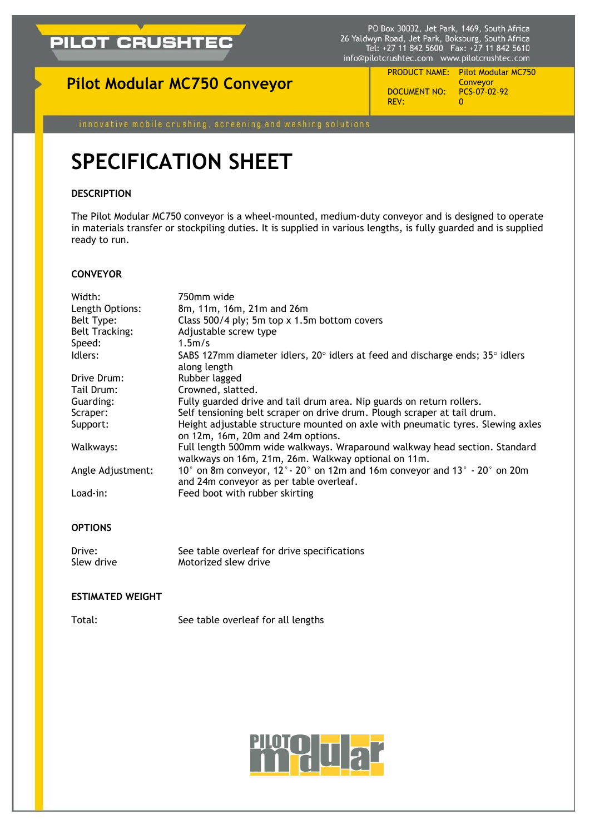

PO Box 30032, Jet Park, 1469, South Africa<br>26 Yaldwyn Road, Jet Park, Boksburg, South Africa<br>Tel: +27 11 842 5600 Fax: +27 11 842 5610 info@pilotcrushtec.com www.pilotcrushtec.com

## **Pilot Modular MC750 Conveyor**

DOCUMENT NO: P REV:

PRODUCT NAME: Pilot Modular MC750 Conveyor<br>PCS-07-02-92

# **SPECIFICATION SHEET**

### **DESCRIPTION**

The Pilot Modular MC750 conveyor is a wheel-mounted, medium-duty conveyor and is designed to operate in materials transfer or stockpiling duties. It is supplied in various lengths, is fully guarded and is supplied ready to run.

#### **CONVEYOR**

| Width:                | 750mm wide                                                                                                                                                              |  |  |  |
|-----------------------|-------------------------------------------------------------------------------------------------------------------------------------------------------------------------|--|--|--|
| Length Options:       | 8m, 11m, 16m, 21m and 26m                                                                                                                                               |  |  |  |
| Belt Type:            | Class 500/4 ply; 5m top x 1.5m bottom covers                                                                                                                            |  |  |  |
| <b>Belt Tracking:</b> | Adjustable screw type                                                                                                                                                   |  |  |  |
| Speed:                | 1.5m/s                                                                                                                                                                  |  |  |  |
| Idlers:               | SABS 127mm diameter idlers, $20^{\circ}$ idlers at feed and discharge ends; $35^{\circ}$ idlers<br>along length                                                         |  |  |  |
| Drive Drum:           | Rubber lagged                                                                                                                                                           |  |  |  |
| Tail Drum:            | Crowned, slatted.                                                                                                                                                       |  |  |  |
| Guarding:             | Fully guarded drive and tail drum area. Nip guards on return rollers.                                                                                                   |  |  |  |
| Scraper:              | Self tensioning belt scraper on drive drum. Plough scraper at tail drum.                                                                                                |  |  |  |
| Support:              | Height adjustable structure mounted on axle with pneumatic tyres. Slewing axles<br>on 12m, 16m, 20m and 24m options.                                                    |  |  |  |
| Walkways:             | Full length 500mm wide walkways. Wraparound walkway head section. Standard<br>walkways on 16m, 21m, 26m. Walkway optional on 11m.                                       |  |  |  |
| Angle Adjustment:     | 10 $^{\circ}$ on 8m conveyor, 12 $^{\circ}$ - 20 $^{\circ}$ on 12m and 16m conveyor and 13 $^{\circ}$ - 20 $^{\circ}$ on 20m<br>and 24m conveyor as per table overleaf. |  |  |  |
| Load-in:              | Feed boot with rubber skirting                                                                                                                                          |  |  |  |

#### **OPTIONS**

Drive: See table overleaf for drive specifications Slew drive Motorized slew drive

#### **ESTIMATED WEIGHT**

Total: See table overleaf for all lengths

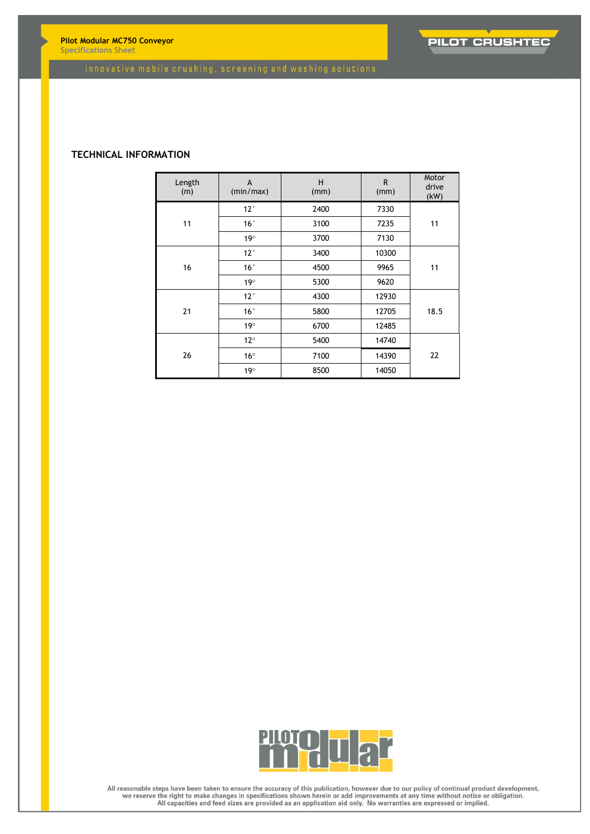**Pilot Modular MC750 Conveyor Specifications Sheet**



#### **TECHNICAL INFORMATION**

| Length<br>(m) | A<br>(min/max) | H<br>(mm) | R.<br>(mm) | Motor<br>drive<br>(kW) |
|---------------|----------------|-----------|------------|------------------------|
| 11            | $12^{\circ}$   | 2400      | 7330       | 11                     |
|               | 16°            | 3100      | 7235       |                        |
|               | $19^\circ$     | 3700      | 7130       |                        |
| 16            | $12^{\circ}$   | 3400      | 10300      | 11                     |
|               | 16°            | 4500      | 9965       |                        |
|               | $19^\circ$     | 5300      | 9620       |                        |
| 21            | $12^{\circ}$   | 4300      | 12930      | 18.5                   |
|               | 16°            | 5800      | 12705      |                        |
|               | $19^\circ$     | 6700      | 12485      |                        |
| 26            | $12^{\circ}$   | 5400      | 14740      | 22                     |
|               | $16^{\circ}$   | 7100      | 14390      |                        |
|               | $19^\circ$     | 8500      | 14050      |                        |



All reasonable steps have been taken to ensure the accuracy of this publication, however due to our policy of continual product development,<br>we reserve the right to make changes in specifications shown herein or add improv